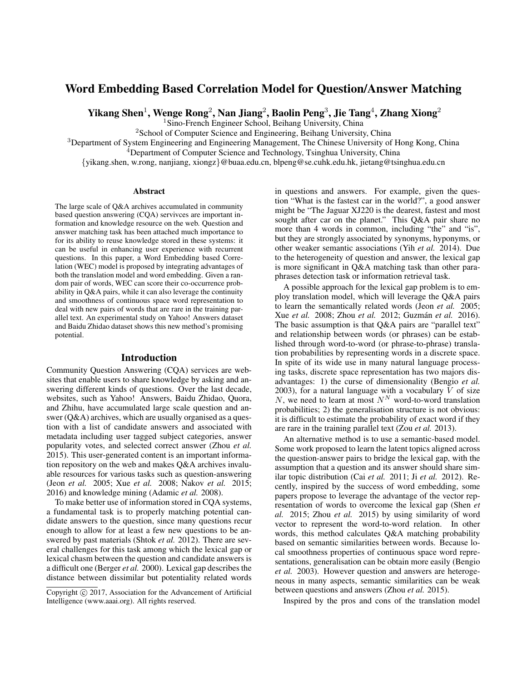# Word Embedding Based Correlation Model for Question/Answer Matching

Yikang Shen $^1$ , Wenge Rong $^2$ , Nan Jiang $^2$ , Baolin Peng $^3$ , Jie Tang $^4$ , Zhang Xiong $^2$ 

<sup>1</sup>Sino-French Engineer School, Beihang University, China

<sup>2</sup>School of Computer Science and Engineering, Beihang University, China

<sup>3</sup>Department of System Engineering and Engineering Management, The Chinese University of Hong Kong, China

<sup>4</sup>Department of Computer Science and Technology, Tsinghua University, China

{yikang.shen, w.rong, nanjiang, xiongz}@buaa.edu.cn, blpeng@se.cuhk.edu.hk, jietang@tsinghua.edu.cn

#### **Abstract**

The large scale of Q&A archives accumulated in community based question answering (CQA) servivces are important information and knowledge resource on the web. Question and answer matching task has been attached much importance to for its ability to reuse knowledge stored in these systems: it can be useful in enhancing user experience with recurrent questions. In this paper, a Word Embedding based Correlation (WEC) model is proposed by integrating advantages of both the translation model and word embedding. Given a random pair of words, WEC can score their co-occurrence probability in Q&A pairs, while it can also leverage the continuity and smoothness of continuous space word representation to deal with new pairs of words that are rare in the training parallel text. An experimental study on Yahoo! Answers dataset and Baidu Zhidao dataset shows this new method's promising potential.

#### Introduction

Community Question Answering (CQA) services are websites that enable users to share knowledge by asking and answering different kinds of questions. Over the last decade, websites, such as Yahoo! Answers, Baidu Zhidao, Quora, and Zhihu, have accumulated large scale question and answer (Q&A) archives, which are usually organised as a question with a list of candidate answers and associated with metadata including user tagged subject categories, answer popularity votes, and selected correct answer (Zhou *et al.* 2015). This user-generated content is an important information repository on the web and makes Q&A archives invaluable resources for various tasks such as question-answering (Jeon *et al.* 2005; Xue *et al.* 2008; Nakov *et al.* 2015; 2016) and knowledge mining (Adamic *et al.* 2008).

To make better use of information stored in CQA systems, a fundamental task is to properly matching potential candidate answers to the question, since many questions recur enough to allow for at least a few new questions to be answered by past materials (Shtok *et al.* 2012). There are several challenges for this task among which the lexical gap or lexical chasm between the question and candidate answers is a difficult one (Berger *et al.* 2000). Lexical gap describes the distance between dissimilar but potentiality related words

in questions and answers. For example, given the question "What is the fastest car in the world?", a good answer might be "The Jaguar XJ220 is the dearest, fastest and most sought after car on the planet." This Q&A pair share no more than 4 words in common, including "the" and "is", but they are strongly associated by synonyms, hyponyms, or other weaker semantic associations (Yih *et al.* 2014). Due to the heterogeneity of question and answer, the lexical gap is more significant in Q&A matching task than other paraphrases detection task or information retrieval task.

A possible approach for the lexical gap problem is to employ translation model, which will leverage the Q&A pairs to learn the semantically related words (Jeon *et al.* 2005; Xue *et al.* 2008; Zhou *et al.* 2012; Guzman´ *et al.* 2016). The basic assumption is that Q&A pairs are "parallel text" and relationship between words (or phrases) can be established through word-to-word (or phrase-to-phrase) translation probabilities by representing words in a discrete space. In spite of its wide use in many natural language processing tasks, discrete space representation has two majors disadvantages: 1) the curse of dimensionality (Bengio *et al.* 2003), for a natural language with a vocabulary  $V$  of size N, we need to learn at most  $N^N$  word-to-word translation probabilities; 2) the generalisation structure is not obvious: it is difficult to estimate the probability of exact word if they are rare in the training parallel text (Zou *et al.* 2013).

An alternative method is to use a semantic-based model. Some work proposed to learn the latent topics aligned across the question-answer pairs to bridge the lexical gap, with the assumption that a question and its answer should share similar topic distribution (Cai *et al.* 2011; Ji *et al.* 2012). Recently, inspired by the success of word embedding, some papers propose to leverage the advantage of the vector representation of words to overcome the lexical gap (Shen *et al.* 2015; Zhou *et al.* 2015) by using similarity of word vector to represent the word-to-word relation. In other words, this method calculates Q&A matching probability based on semantic similarities between words. Because local smoothness properties of continuous space word representations, generalisation can be obtain more easily (Bengio *et al.* 2003). However question and answers are heterogeneous in many aspects, semantic similarities can be weak between questions and answers (Zhou *et al.* 2015).

Inspired by the pros and cons of the translation model

Copyright (c) 2017, Association for the Advancement of Artificial Intelligence (www.aaai.org). All rights reserved.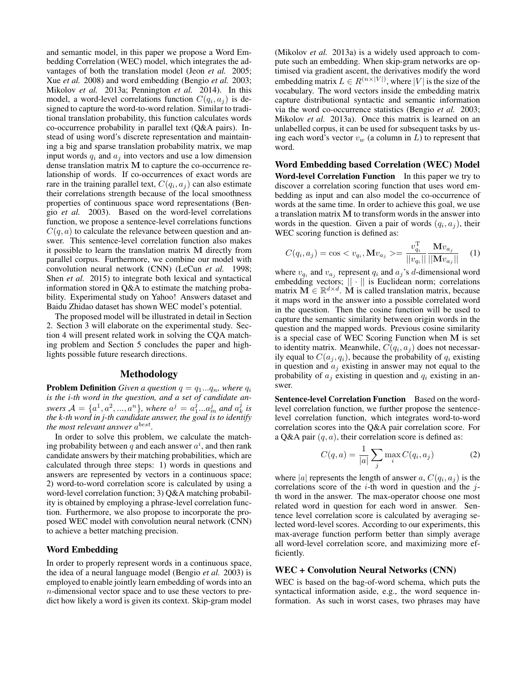and semantic model, in this paper we propose a Word Embedding Correlation (WEC) model, which integrates the advantages of both the translation model (Jeon *et al.* 2005; Xue *et al.* 2008) and word embedding (Bengio *et al.* 2003; Mikolov *et al.* 2013a; Pennington *et al.* 2014). In this model, a word-level correlations function  $C(q_i, a_j)$  is designed to capture the word-to-word relation. Similar to traditional translation probability, this function calculates words co-occurrence probability in parallel text (Q&A pairs). Instead of using word's discrete representation and maintaining a big and sparse translation probability matrix, we map input words  $q_i$  and  $a_j$  into vectors and use a low dimension dense translation matrix M to capture the co-occurrence relationship of words. If co-occurrences of exact words are rare in the training parallel text,  $C(q_i, a_j)$  can also estimate their correlations strength because of the local smoothness properties of continuous space word representations (Bengio *et al.* 2003). Based on the word-level correlations function, we propose a sentence-level correlations functions  $C(q, a)$  to calculate the relevance between question and answer. This sentence-level correlation function also makes it possible to learn the translation matrix M directly from parallel corpus. Furthermore, we combine our model with convolution neural network (CNN) (LeCun *et al.* 1998; Shen *et al.* 2015) to integrate both lexical and syntactical information stored in Q&A to estimate the matching probability. Experimental study on Yahoo! Answers dataset and Baidu Zhidao dataset has shown WEC model's potential.

The proposed model will be illustrated in detail in Section 2. Section 3 will elaborate on the experimental study. Section 4 will present related work in solving the CQA matching problem and Section 5 concludes the paper and highlights possible future research directions.

#### Methodology

**Problem Definition** *Given a question*  $q = q_1...q_n$ *, where*  $q_i$ *is the i-th word in the question, and a set of candidate answers*  $A = \{a^1, a^2, ..., a^n\}$ , where  $a^j = a_1^j...a_m^j$  and  $a_k^j$  is *the k-th word in j-th candidate answer, the goal is to identify* the most relevant answer  $a^{best}$ .

In order to solve this problem, we calculate the matching probability between  $q$  and each answer  $a^i$ , and then rank candidate answers by their matching probabilities, which are calculated through three steps: 1) words in questions and answers are represented by vectors in a continuous space; 2) word-to-word correlation score is calculated by using a word-level correlation function; 3) Q&A matching probability is obtained by employing a phrase-level correlation function. Furthermore, we also propose to incorporate the proposed WEC model with convolution neural network (CNN) to achieve a better matching precision.

#### Word Embedding

In order to properly represent words in a continuous space, the idea of a neural language model (Bengio *et al.* 2003) is employed to enable jointly learn embedding of words into an n-dimensional vector space and to use these vectors to predict how likely a word is given its context. Skip-gram model (Mikolov *et al.* 2013a) is a widely used approach to compute such an embedding. When skip-gram networks are optimised via gradient ascent, the derivatives modify the word embedding matrix  $L \in R^{(n \times |V|)}$ , where  $|V|$  is the size of the vocabulary. The word vectors inside the embedding matrix capture distributional syntactic and semantic information via the word co-occurrence statistics (Bengio *et al.* 2003; Mikolov *et al.* 2013a). Once this matrix is learned on an unlabelled corpus, it can be used for subsequent tasks by using each word's vector  $v_w$  (a column in L) to represent that word.

Word Embedding based Correlation (WEC) Model Word-level Correlation Function In this paper we try to discover a correlation scoring function that uses word em-

bedding as input and can also model the co-occurrence of words at the same time. In order to achieve this goal, we use a translation matrix M to transform words in the answer into words in the question. Given a pair of words  $(q_i, a_j)$ , their WEC scoring function is defined as:

$$
C(q_i, a_j) = \cos < v_{q_i}, \mathbf{M}v_{a_j} > = \frac{v_{q_i}^{\mathrm{T}}}{||v_{q_i}||} \frac{\mathbf{M}v_{a_j}}{||\mathbf{M}v_{a_j}||}
$$
 (1)

where  $v_{q_i}$  and  $v_{a_j}$  represent  $q_i$  and  $a_j$ 's d-dimensional word embedding vectors;  $\|\cdot\|$  is Euclidean norm; correlations matrix  $\mathbf{M} \in \mathbb{R}^{d \times d}$ . M is called translation matrix, because it maps word in the answer into a possible correlated word in the question. Then the cosine function will be used to capture the semantic similarity between origin words in the question and the mapped words. Previous cosine similarity is a special case of WEC Scoring Function when M is set to identity matrix. Meanwhile,  $C(q_i, a_j)$  does not necessarily equal to  $C(a_i, q_i)$ , because the probability of  $q_i$  existing in question and  $a_i$  existing in answer may not equal to the probability of  $a_i$  existing in question and  $q_i$  existing in answer.

Sentence-level Correlation Function Based on the wordlevel correlation function, we further propose the sentencelevel correlation function, which integrates word-to-word correlation scores into the Q&A pair correlation score. For a Q&A pair  $(q, a)$ , their correlation score is defined as:

$$
C(q, a) = \frac{1}{|a|} \sum_{j} \max_{i} C(q_i, a_j)
$$
 (2)

where |a| represents the length of answer a,  $C(q_i, a_j)$  is the correlations score of the  $i$ -th word in question and the  $j$ th word in the answer. The max-operator choose one most related word in question for each word in answer. Sentence level correlation score is calculated by averaging selected word-level scores. According to our experiments, this max-average function perform better than simply average all word-level correlation score, and maximizing more efficiently.

#### WEC + Convolution Neural Networks (CNN)

WEC is based on the bag-of-word schema, which puts the syntactical information aside, e.g., the word sequence information. As such in worst cases, two phrases may have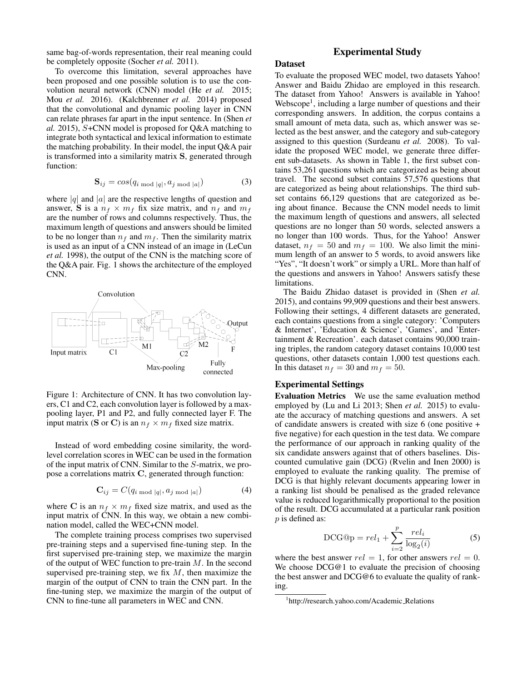same bag-of-words representation, their real meaning could be completely opposite (Socher *et al.* 2011).

To overcome this limitation, several approaches have been proposed and one possible solution is to use the convolution neural network (CNN) model (He *et al.* 2015; Mou *et al.* 2016). (Kalchbrenner *et al.* 2014) proposed that the convolutional and dynamic pooling layer in CNN can relate phrases far apart in the input sentence. In (Shen *et al.* 2015), S+CNN model is proposed for Q&A matching to integrate both syntactical and lexical information to estimate the matching probability. In their model, the input Q&A pair is transformed into a similarity matrix S, generated through function:

$$
\mathbf{S}_{ij} = \cos(q_{i \text{ mod } |q|}, a_{j \text{ mod } |a|}) \tag{3}
$$

where  $|q|$  and  $|a|$  are the respective lengths of question and answer, S is a  $n_f \times m_f$  fix size matrix, and  $n_f$  and  $m_f$ are the number of rows and columns respectively. Thus, the maximum length of questions and answers should be limited to be no longer than  $n_f$  and  $m_f$ . Then the similarity matrix is used as an input of a CNN instead of an image in (LeCun *et al.* 1998), the output of the CNN is the matching score of the Q&A pair. Fig. 1 shows the architecture of the employed CNN.



Figure 1: Architecture of CNN. It has two convolution layers, C1 and C2, each convolution layer is followed by a maxpooling layer, P1 and P2, and fully connected layer F. The input matrix (S or C) is an  $n_f \times m_f$  fixed size matrix.

Instead of word embedding cosine similarity, the wordlevel correlation scores in WEC can be used in the formation of the input matrix of CNN. Similar to the S-matrix, we propose a correlations matrix C, generated through function:

$$
\mathbf{C}_{ij} = C(q_{i \bmod |q|}, a_{j \bmod |a|}) \tag{4}
$$

where C is an  $n_f \times m_f$  fixed size matrix, and used as the input matrix of CNN. In this way, we obtain a new combination model, called the WEC+CNN model.

The complete training process comprises two supervised pre-training steps and a supervised fine-tuning step. In the first supervised pre-training step, we maximize the margin of the output of WEC function to pre-train  $M$ . In the second supervised pre-training step, we fix  $M$ , then maximize the margin of the output of CNN to train the CNN part. In the fine-tuning step, we maximize the margin of the output of CNN to fine-tune all parameters in WEC and CNN.

## Experimental Study

## Dataset

To evaluate the proposed WEC model, two datasets Yahoo! Answer and Baidu Zhidao are employed in this research. The dataset from Yahoo! Answers is available in Yahoo! Webscope<sup>1</sup>, including a large number of questions and their corresponding answers. In addition, the corpus contains a small amount of meta data, such as, which answer was selected as the best answer, and the category and sub-category assigned to this question (Surdeanu *et al.* 2008). To validate the proposed WEC model, we generate three different sub-datasets. As shown in Table 1, the first subset contains 53,261 questions which are categorized as being about travel. The second subset contains 57,576 questions that are categorized as being about relationships. The third subset contains 66,129 questions that are categorized as being about finance. Because the CNN model needs to limit the maximum length of questions and answers, all selected questions are no longer than 50 words, selected answers a no longer than 100 words. Thus, for the Yahoo! Answer dataset,  $n_f = 50$  and  $m_f = 100$ . We also limit the minimum length of an answer to 5 words, to avoid answers like "Yes", "It doesn't work" or simply a URL. More than half of the questions and answers in Yahoo! Answers satisfy these limitations.

The Baidu Zhidao dataset is provided in (Shen *et al.* 2015), and contains 99,909 questions and their best answers. Following their settings, 4 different datasets are generated, each contains questions from a single category: 'Computers & Internet', 'Education & Science', 'Games', and 'Entertainment & Recreation'. each dataset contains 90,000 training triples, the random category dataset contains 10,000 test questions, other datasets contain 1,000 test questions each. In this dataset  $n_f = 30$  and  $m_f = 50$ .

### Experimental Settings

Evaluation Metrics We use the same evaluation method employed by (Lu and Li 2013; Shen *et al.* 2015) to evaluate the accuracy of matching questions and answers. A set of candidate answers is created with size 6 (one positive + five negative) for each question in the test data. We compare the performance of our approach in ranking quality of the six candidate answers against that of others baselines. Discounted cumulative gain (DCG) (Rvelin and Inen 2000) is employed to evaluate the ranking quality. The premise of DCG is that highly relevant documents appearing lower in a ranking list should be penalised as the graded relevance value is reduced logarithmically proportional to the position of the result. DCG accumulated at a particular rank position  $p$  is defined as:

$$
\text{DCG@p} = rel_1 + \sum_{i=2}^{p} \frac{rel_i}{\log_2(i)}\tag{5}
$$

where the best answer  $rel = 1$ , for other answers  $rel = 0$ . We choose DCG@1 to evaluate the precision of choosing the best answer and DCG@6 to evaluate the quality of ranking.

<sup>1</sup> http://research.yahoo.com/Academic Relations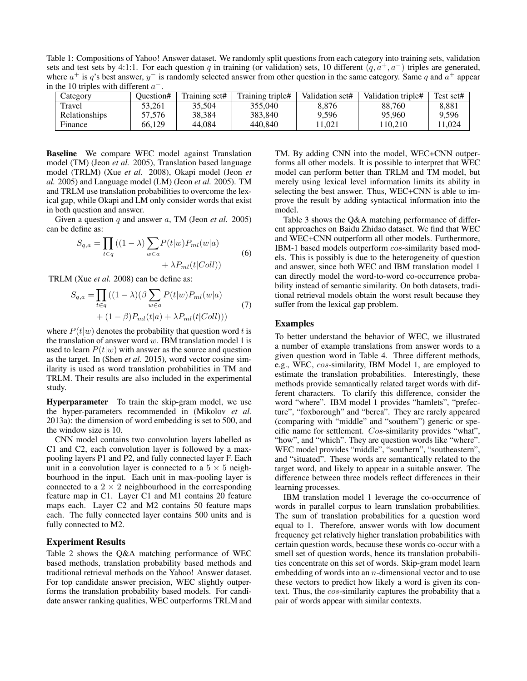Table 1: Compositions of Yahoo! Answer dataset. We randomly split questions from each category into training sets, validation sets and test sets by 4:1:1. For each question q in training (or validation) sets, 10 different  $(q, a<sup>+</sup>, a<sup>-</sup>)$  triples are generated, where  $a^+$  is q's best answer,  $y^-$  is randomly selected answer from other question in the same category. Same q and  $a^+$  appear in the 10 triples with different  $a^-$ .

| Category      | Question# | Training set# | Training triple# | Validation set# | Validation triple# | Test set# |
|---------------|-----------|---------------|------------------|-----------------|--------------------|-----------|
| Travel        | 53.261    | 35.504        | 355.040          | 8.876           | 88.760             | 8.881     |
| Relationships | 57.576    | 38.384        | 383.840          | 9,596           | 95,960             | 9.596     |
| Finance       | 66.129    | 44.084        | 440,840          | 1.021           | 110.210            | 11.024    |

Baseline We compare WEC model against Translation model (TM) (Jeon *et al.* 2005), Translation based language model (TRLM) (Xue *et al.* 2008), Okapi model (Jeon *et al.* 2005) and Language model (LM) (Jeon *et al.* 2005). TM and TRLM use translation probabilities to overcome the lexical gap, while Okapi and LM only consider words that exist in both question and answer.

Given a question q and answer a, TM (Jeon *et al.* 2005) can be define as:

$$
S_{q,a} = \prod_{t \in q} ((1 - \lambda) \sum_{w \in a} P(t|w) P_{ml}(w|a) + \lambda P_{ml}(t|Coll))
$$
\n(6)

TRLM (Xue *et al.* 2008) can be define as:

$$
S_{q,a} = \prod_{t \in q} ((1 - \lambda)(\beta \sum_{w \in a} P(t|w)P_{ml}(w|a) + (1 - \beta)P_{ml}(t|a) + \lambda P_{ml}(t|Coll)))
$$
(7)

where  $P(t|w)$  denotes the probability that question word t is the translation of answer word  $w$ . IBM translation model 1 is used to learn  $P(t|w)$  with answer as the source and question as the target. In (Shen *et al.* 2015), word vector cosine similarity is used as word translation probabilities in TM and TRLM. Their results are also included in the experimental study.

Hyperparameter To train the skip-gram model, we use the hyper-parameters recommended in (Mikolov *et al.* 2013a): the dimension of word embedding is set to 500, and the window size is 10.

CNN model contains two convolution layers labelled as C1 and C2, each convolution layer is followed by a maxpooling layers P1 and P2, and fully connected layer F. Each unit in a convolution layer is connected to a  $5 \times 5$  neighbourhood in the input. Each unit in max-pooling layer is connected to a  $2 \times 2$  neighbourhood in the corresponding feature map in C1. Layer C1 and M1 contains 20 feature maps each. Layer C2 and M2 contains 50 feature maps each. The fully connected layer contains 500 units and is fully connected to M2.

#### Experiment Results

Table 2 shows the Q&A matching performance of WEC based methods, translation probability based methods and traditional retrieval methods on the Yahoo! Answer dataset. For top candidate answer precision, WEC slightly outperforms the translation probability based models. For candidate answer ranking qualities, WEC outperforms TRLM and

TM. By adding CNN into the model, WEC+CNN outperforms all other models. It is possible to interpret that WEC model can perform better than TRLM and TM model, but merely using lexical level information limits its ability in selecting the best answer. Thus, WEC+CNN is able to improve the result by adding syntactical information into the model.

Table 3 shows the Q&A matching performance of different approaches on Baidu Zhidao dataset. We find that WEC and WEC+CNN outperform all other models. Furthermore, IBM-1 based models outperform cos-similarity based models. This is possibly is due to the heterogeneity of question and answer, since both WEC and IBM translation model 1 can directly model the word-to-word co-occurrence probability instead of semantic similarity. On both datasets, traditional retrieval models obtain the worst result because they suffer from the lexical gap problem.

#### Examples

To better understand the behavior of WEC, we illustrated a number of example translations from answer words to a given question word in Table 4. Three different methods, e.g., WEC, cos-similarity, IBM Model 1, are employed to estimate the translation probabilities. Interestingly, these methods provide semantically related target words with different characters. To clarify this difference, consider the word "where". IBM model 1 provides "hamlets", "prefecture", "foxborough" and "berea". They are rarely appeared (comparing with "middle" and "southern") generic or specific name for settlement. Cos-similarity provides "what", "how", and "which". They are question words like "where". WEC model provides "middle", "southern", "southeastern", and "situated". These words are semantically related to the target word, and likely to appear in a suitable answer. The difference between three models reflect differences in their learning processes.

IBM translation model 1 leverage the co-occurrence of words in parallel corpus to learn translation probabilities. The sum of translation probabilities for a question word equal to 1. Therefore, answer words with low document frequency get relatively higher translation probabilities with certain question words, because these words co-occur with a smell set of question words, hence its translation probabilities concentrate on this set of words. Skip-gram model learn embedding of words into an  $n$ -dimensional vector and to use these vectors to predict how likely a word is given its context. Thus, the cos-similarity captures the probability that a pair of words appear with similar contexts.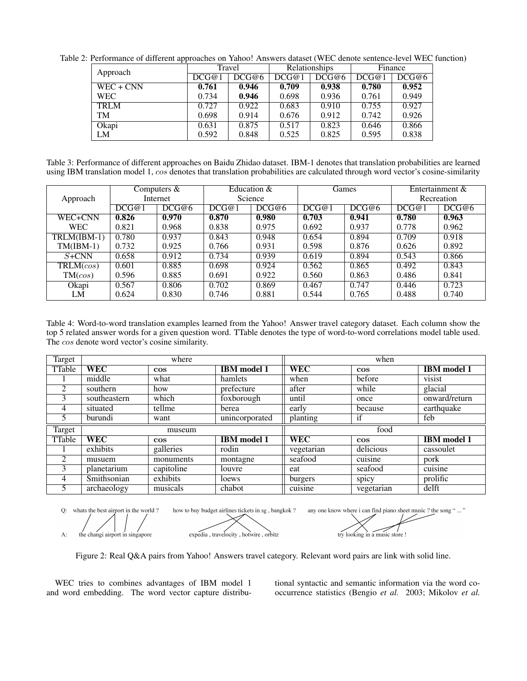| Approach    | Travel |       | Relationships |       | Finance |       |
|-------------|--------|-------|---------------|-------|---------|-------|
|             | DCG@1  | DCG@6 | DCG@1         | DCG@6 | DCG@1   | DCG@6 |
| $WEC + CNN$ | 0.761  | 0.946 | 0.709         | 0.938 | 0.780   | 0.952 |
| <b>WEC</b>  | 0.734  | 0.946 | 0.698         | 0.936 | 0.761   | 0.949 |
| <b>TRLM</b> | 0.727  | 0.922 | 0.683         | 0.910 | 0.755   | 0.927 |
| TM          | 0.698  | 0.914 | 0.676         | 0.912 | 0.742   | 0.926 |
| Okapi       | 0.631  | 0.875 | 0.517         | 0.823 | 0.646   | 0.866 |
| LM          | 0.592  | 0.848 | 0.525         | 0.825 | 0.595   | 0.838 |

Table 2: Performance of different approaches on Yahoo! Answers dataset (WEC denote sentence-level WEC function)

Table 3: Performance of different approaches on Baidu Zhidao dataset. IBM-1 denotes that translation probabilities are learned using IBM translation model 1, cos denotes that translation probabilities are calculated through word vector's cosine-similarity

|             |          | Computers & |         | Education & |       | Games |            | Entertainment & |
|-------------|----------|-------------|---------|-------------|-------|-------|------------|-----------------|
| Approach    | Internet |             | Science |             |       |       | Recreation |                 |
|             | DCG@1    | DCG@6       | DCG@1   | DCG@6       | DCG@1 | DCG@6 | DCG@1      | DCG@6           |
| WEC+CNN     | 0.826    | 0.970       | 0.870   | 0.980       | 0.703 | 0.941 | 0.780      | 0.963           |
| <b>WEC</b>  | 0.821    | 0.968       | 0.838   | 0.975       | 0.692 | 0.937 | 0.778      | 0.962           |
| TRLM(IBM-1) | 0.780    | 0.937       | 0.843   | 0.948       | 0.654 | 0.894 | 0.709      | 0.918           |
| $TM(IBM-1)$ | 0.732    | 0.925       | 0.766   | 0.931       | 0.598 | 0.876 | 0.626      | 0.892           |
| $S + CNN$   | 0.658    | 0.912       | 0.734   | 0.939       | 0.619 | 0.894 | 0.543      | 0.866           |
| TRLM(cos)   | 0.601    | 0.885       | 0.698   | 0.924       | 0.562 | 0.865 | 0.492      | 0.843           |
| TM(cos)     | 0.596    | 0.885       | 0.691   | 0.922       | 0.560 | 0.863 | 0.486      | 0.841           |
| Okapi       | 0.567    | 0.806       | 0.702   | 0.869       | 0.467 | 0.747 | 0.446      | 0.723           |
| LM          | 0.624    | 0.830       | 0.746   | 0.881       | 0.544 | 0.765 | 0.488      | 0.740           |

Table 4: Word-to-word translation examples learned from the Yahoo! Answer travel category dataset. Each column show the top 5 related answer words for a given question word. TTable denotes the type of word-to-word correlations model table used. The cos denote word vector's cosine similarity.

| Target         | where        |            |                    |            | when      |                    |  |
|----------------|--------------|------------|--------------------|------------|-----------|--------------------|--|
| TTable         | <b>WEC</b>   | $\cos$     | <b>IBM</b> model 1 | <b>WEC</b> | $\cos$    | <b>IBM</b> model 1 |  |
|                | middle       | what       | hamlets            | when       | before    | visist             |  |
| 2              | southern     | how        | prefecture         | after      | while     | glacial            |  |
| 3              | southeastern | which      | foxborough         | until      | once      | onward/return      |  |
| $\overline{4}$ | situated     | tellme     | berea              | early      | because   | earthquake         |  |
| 5              | burundi      | want       | unincorporated     | planting   | if        | feb                |  |
|                | museum       |            |                    | food       |           |                    |  |
| Target         |              |            |                    |            |           |                    |  |
| TTable         | <b>WEC</b>   | $\cos$     | <b>IBM</b> model 1 | <b>WEC</b> | $\cos$    | <b>IBM</b> model 1 |  |
|                | exhibits     | galleries  | rodin              | vegetarian | delicious | cassoulet          |  |
|                | musuem       | monuments  | montagne           | seafood    | cuisine   | pork               |  |
| 3              | planetarium  | capitoline | louvre             | eat        | seafood   | cuisine            |  |
| $\overline{4}$ | Smithsonian  | exhibits   | loews              | burgers    | spicy     | prolific           |  |

how to buy budget airlines tickets in sg , bangkok ? Q: whats the best airport in the world? any one know where i can find piano sheet music ? the song "..." expedia, travelocity, hotwire, orbitz A:

the changi airport in singapore

try looking in a music store !

Figure 2: Real Q&A pairs from Yahoo! Answers travel category. Relevant word pairs are link with solid line.

WEC tries to combines advantages of IBM model 1 and word embedding. The word vector capture distributional syntactic and semantic information via the word cooccurrence statistics (Bengio *et al.* 2003; Mikolov *et al.*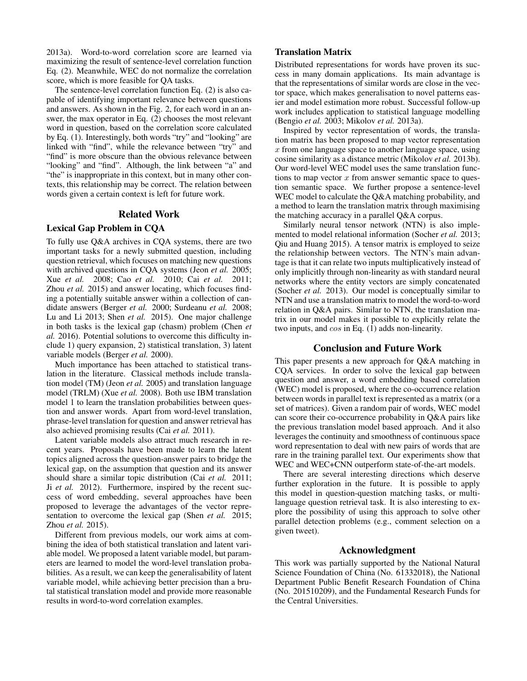2013a). Word-to-word correlation score are learned via maximizing the result of sentence-level correlation function Eq. (2). Meanwhile, WEC do not normalize the correlation score, which is more feasible for QA tasks.

The sentence-level correlation function Eq. (2) is also capable of identifying important relevance between questions and answers. As shown in the Fig. 2, for each word in an answer, the max operator in Eq. (2) chooses the most relevant word in question, based on the correlation score calculated by Eq. (1). Interestingly, both words "try" and "looking" are linked with "find", while the relevance between "try" and "find" is more obscure than the obvious relevance between "looking" and "find". Although, the link between "a" and "the" is inappropriate in this context, but in many other contexts, this relationship may be correct. The relation between words given a certain context is left for future work.

#### Related Work

# Lexical Gap Problem in CQA

To fully use Q&A archives in CQA systems, there are two important tasks for a newly submitted question, including question retrieval, which focuses on matching new questions with archived questions in CQA systems (Jeon *et al.* 2005; Xue *et al.* 2008; Cao *et al.* 2010; Cai *et al.* 2011; Zhou *et al.* 2015) and answer locating, which focuses finding a potentially suitable answer within a collection of candidate answers (Berger *et al.* 2000; Surdeanu *et al.* 2008; Lu and Li 2013; Shen *et al.* 2015). One major challenge in both tasks is the lexical gap (chasm) problem (Chen *et al.* 2016). Potential solutions to overcome this difficulty include 1) query expansion, 2) statistical translation, 3) latent variable models (Berger *et al.* 2000).

Much importance has been attached to statistical translation in the literature. Classical methods include translation model (TM) (Jeon *et al.* 2005) and translation language model (TRLM) (Xue *et al.* 2008). Both use IBM translation model 1 to learn the translation probabilities between question and answer words. Apart from word-level translation, phrase-level translation for question and answer retrieval has also achieved promising results (Cai *et al.* 2011).

Latent variable models also attract much research in recent years. Proposals have been made to learn the latent topics aligned across the question-answer pairs to bridge the lexical gap, on the assumption that question and its answer should share a similar topic distribution (Cai *et al.* 2011; Ji *et al.* 2012). Furthermore, inspired by the recent success of word embedding, several approaches have been proposed to leverage the advantages of the vector representation to overcome the lexical gap (Shen *et al.* 2015; Zhou *et al.* 2015).

Different from previous models, our work aims at combining the idea of both statistical translation and latent variable model. We proposed a latent variable model, but parameters are learned to model the word-level translation probabilities. As a result, we can keep the generalisability of latent variable model, while achieving better precision than a brutal statistical translation model and provide more reasonable results in word-to-word correlation examples.

## Translation Matrix

Distributed representations for words have proven its success in many domain applications. Its main advantage is that the representations of similar words are close in the vector space, which makes generalisation to novel patterns easier and model estimation more robust. Successful follow-up work includes application to statistical language modelling (Bengio *et al.* 2003; Mikolov *et al.* 2013a).

Inspired by vector representation of words, the translation matrix has been proposed to map vector representation x from one language space to another language space, using cosine similarity as a distance metric (Mikolov *et al.* 2013b). Our word-level WEC model uses the same translation functions to map vector  $x$  from answer semantic space to question semantic space. We further propose a sentence-level WEC model to calculate the Q&A matching probability, and a method to learn the translation matrix through maximising the matching accuracy in a parallel Q&A corpus.

Similarly neural tensor network (NTN) is also implemented to model relational information (Socher *et al.* 2013; Qiu and Huang 2015). A tensor matrix is employed to seize the relationship between vectors. The NTN's main advantage is that it can relate two inputs multiplicatively instead of only implicitly through non-linearity as with standard neural networks where the entity vectors are simply concatenated (Socher *et al.* 2013). Our model is conceptually similar to NTN and use a translation matrix to model the word-to-word relation in Q&A pairs. Similar to NTN, the translation matrix in our model makes it possible to explicitly relate the two inputs, and cos in Eq. (1) adds non-linearity.

#### Conclusion and Future Work

This paper presents a new approach for Q&A matching in CQA services. In order to solve the lexical gap between question and answer, a word embedding based correlation (WEC) model is proposed, where the co-occurrence relation between words in parallel text is represented as a matrix (or a set of matrices). Given a random pair of words, WEC model can score their co-occurrence probability in Q&A pairs like the previous translation model based approach. And it also leverages the continuity and smoothness of continuous space word representation to deal with new pairs of words that are rare in the training parallel text. Our experiments show that WEC and WEC+CNN outperform state-of-the-art models.

There are several interesting directions which deserve further exploration in the future. It is possible to apply this model in question-question matching tasks, or multilanguage question retrieval task. It is also interesting to explore the possibility of using this approach to solve other parallel detection problems (e.g., comment selection on a given tweet).

# Acknowledgment

This work was partially supported by the National Natural Science Foundation of China (No. 61332018), the National Department Public Benefit Research Foundation of China (No. 201510209), and the Fundamental Research Funds for the Central Universities.